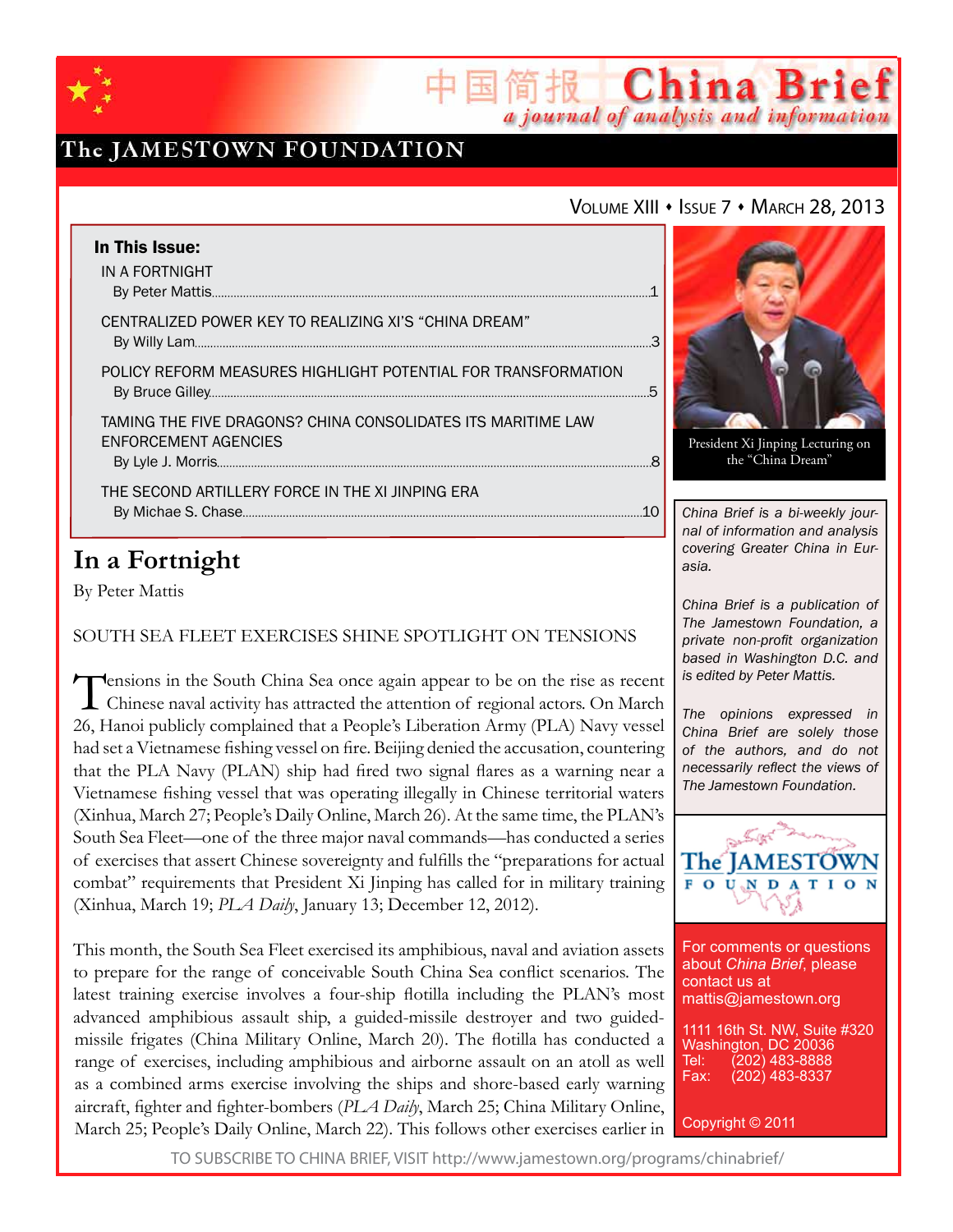

## The JAMESTOWN FOUNDATION

### VOLUME XIII • ISSUE 7 • MARCH 28, 2013

简报 China Brief

a journal of analysis and information

| In This Issue:                                                                       |    |
|--------------------------------------------------------------------------------------|----|
| IN A FORTNIGHT                                                                       |    |
| CENTRALIZED POWER KEY TO REALIZING XI'S "CHINA DREAM"                                |    |
| POLICY REFORM MEASURES HIGHLIGHT POTENTIAL FOR TRANSFORMATION                        |    |
| TAMING THE FIVE DRAGONS? CHINA CONSOLIDATES ITS MARITIME LAW<br>ENFORCEMENT AGENCIES |    |
| THE SECOND ARTILLERY FORCE IN THE XI JINPING ERA                                     | 10 |

## **In a Fortnight**

By Peter Mattis

South Sea Fleet Exercises Shine Spotlight on Tensions

Tensions in the South China Sea once again appear to be on the rise as recent Chinese naval activity has attracted the attention of regional actors. On March 26, Hanoi publicly complained that a People's Liberation Army (PLA) Navy vessel had set a Vietnamese fishing vessel on fire. Beijing denied the accusation, countering that the PLA Navy (PLAN) ship had fired two signal flares as a warning near a Vietnamese fishing vessel that was operating illegally in Chinese territorial waters (Xinhua, March 27; People's Daily Online, March 26). At the same time, the PLAN's South Sea Fleet—one of the three major naval commands—has conducted a series of exercises that assert Chinese sovereignty and fulfills the "preparations for actual combat" requirements that President Xi Jinping has called for in military training (Xinhua, March 19; *PLA Daily*, January 13; December 12, 2012).

This month, the South Sea Fleet exercised its amphibious, naval and aviation assets to prepare for the range of conceivable South China Sea conflict scenarios. The latest training exercise involves a four-ship flotilla including the PLAN's most advanced amphibious assault ship, a guided-missile destroyer and two guidedmissile frigates (China Military Online, March 20). The flotilla has conducted a range of exercises, including amphibious and airborne assault on an atoll as well as a combined arms exercise involving the ships and shore-based early warning aircraft, fighter and fighter-bombers (*PLA Daily*, March 25; China Military Online, March 25; People's Daily Online, March 22). This follows other exercises earlier in



President Xi Jinping Lecturing on the "China Dream"

*China Brief is a bi-weekly journal of information and analysis covering Greater China in Eurasia.* 

*China Brief is a publication of The Jamestown Foundation, a private non-profit organization based in Washington D.C. and is edited by Peter Mattis.*

*The opinions expressed in China Brief are solely those of the authors, and do not necessarily reflect the views of The Jamestown Foundation.*



For comments or questions about *China Brief*, please contact us at mattis@jamestown.org

1111 16th St. NW, Suite #320 Washington, DC 20036 Tel: (202) 483-8888<br>Fax: (202) 483-8337 (202) 483-8337

Copyright © 2011

TO SUBSCRIBE TO CHINA BRIEF, VISIT http://www.jamestown.org/programs/chinabrief/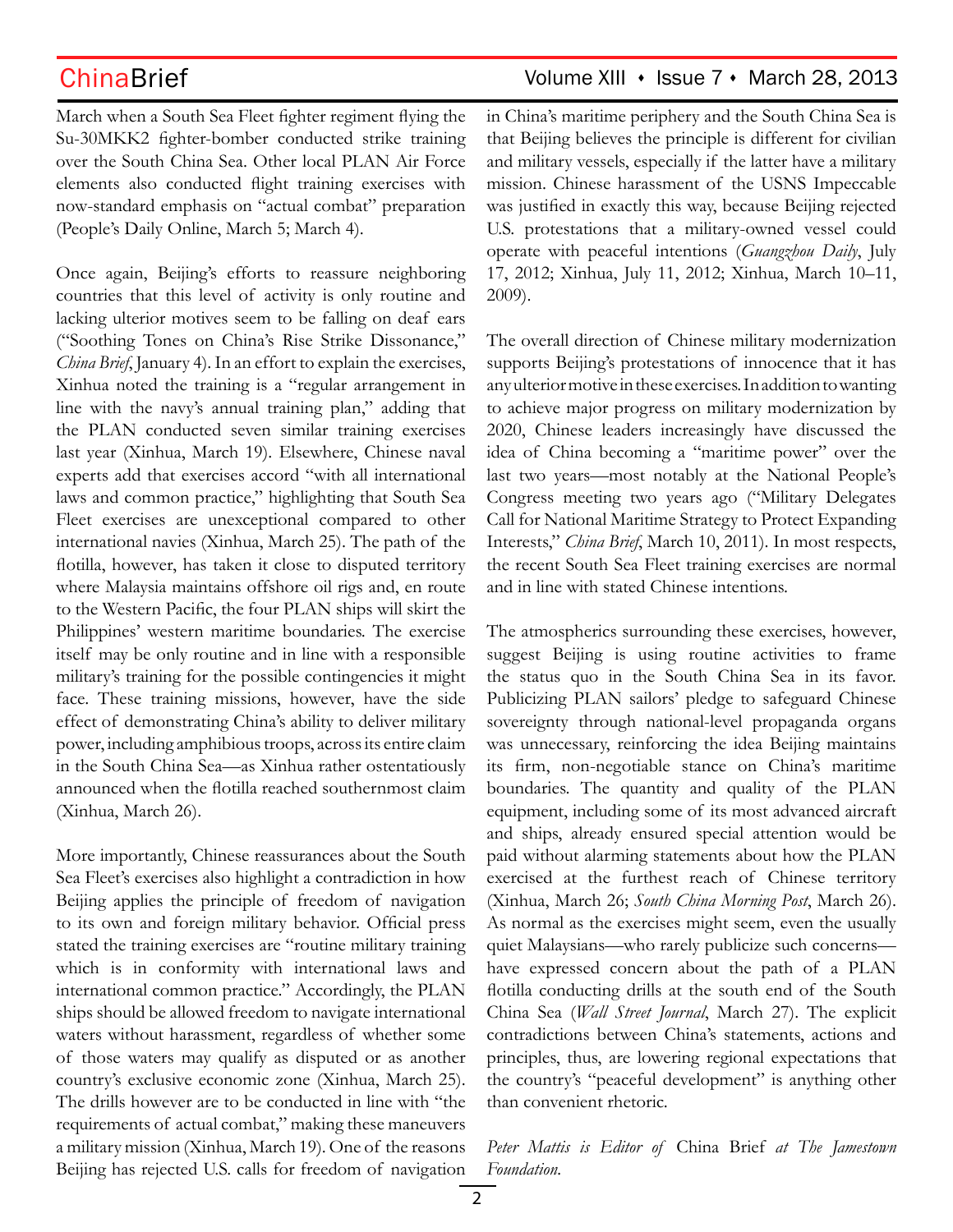March when a South Sea Fleet fighter regiment flying the Su-30MKK2 fighter-bomber conducted strike training over the South China Sea. Other local PLAN Air Force elements also conducted flight training exercises with now-standard emphasis on "actual combat" preparation (People's Daily Online, March 5; March 4).

Once again, Beijing's efforts to reassure neighboring countries that this level of activity is only routine and lacking ulterior motives seem to be falling on deaf ears ("Soothing Tones on China's Rise Strike Dissonance," *China Brief*, January 4). In an effort to explain the exercises, Xinhua noted the training is a "regular arrangement in line with the navy's annual training plan," adding that the PLAN conducted seven similar training exercises last year (Xinhua, March 19). Elsewhere, Chinese naval experts add that exercises accord "with all international laws and common practice," highlighting that South Sea Fleet exercises are unexceptional compared to other international navies (Xinhua, March 25). The path of the flotilla, however, has taken it close to disputed territory where Malaysia maintains offshore oil rigs and, en route to the Western Pacific, the four PLAN ships will skirt the Philippines' western maritime boundaries. The exercise itself may be only routine and in line with a responsible military's training for the possible contingencies it might face. These training missions, however, have the side effect of demonstrating China's ability to deliver military power, including amphibious troops, across its entire claim in the South China Sea—as Xinhua rather ostentatiously announced when the flotilla reached southernmost claim (Xinhua, March 26).

More importantly, Chinese reassurances about the South Sea Fleet's exercises also highlight a contradiction in how Beijing applies the principle of freedom of navigation to its own and foreign military behavior. Official press stated the training exercises are "routine military training which is in conformity with international laws and international common practice." Accordingly, the PLAN ships should be allowed freedom to navigate international waters without harassment, regardless of whether some of those waters may qualify as disputed or as another country's exclusive economic zone (Xinhua, March 25). The drills however are to be conducted in line with "the requirements of actual combat," making these maneuvers a military mission (Xinhua, March 19). One of the reasons Beijing has rejected U.S. calls for freedom of navigation

## ChinaBrief Volume XIII • Issue 7 • March 28, 2013

in China's maritime periphery and the South China Sea is that Beijing believes the principle is different for civilian and military vessels, especially if the latter have a military mission. Chinese harassment of the USNS Impeccable was justified in exactly this way, because Beijing rejected U.S. protestations that a military-owned vessel could operate with peaceful intentions (*Guangzhou Daily*, July 17, 2012; Xinhua, July 11, 2012; Xinhua, March 10–11, 2009).

The overall direction of Chinese military modernization supports Beijing's protestations of innocence that it has any ulterior motive in these exercises. In addition to wanting to achieve major progress on military modernization by 2020, Chinese leaders increasingly have discussed the idea of China becoming a "maritime power" over the last two years—most notably at the National People's Congress meeting two years ago ("Military Delegates Call for National Maritime Strategy to Protect Expanding Interests," *China Brief*, March 10, 2011). In most respects, the recent South Sea Fleet training exercises are normal and in line with stated Chinese intentions.

The atmospherics surrounding these exercises, however, suggest Beijing is using routine activities to frame the status quo in the South China Sea in its favor. Publicizing PLAN sailors' pledge to safeguard Chinese sovereignty through national-level propaganda organs was unnecessary, reinforcing the idea Beijing maintains its firm, non-negotiable stance on China's maritime boundaries. The quantity and quality of the PLAN equipment, including some of its most advanced aircraft and ships, already ensured special attention would be paid without alarming statements about how the PLAN exercised at the furthest reach of Chinese territory (Xinhua, March 26; *South China Morning Post*, March 26). As normal as the exercises might seem, even the usually quiet Malaysians—who rarely publicize such concerns have expressed concern about the path of a PLAN flotilla conducting drills at the south end of the South China Sea (*Wall Street Journal*, March 27). The explicit contradictions between China's statements, actions and principles, thus, are lowering regional expectations that the country's "peaceful development" is anything other than convenient rhetoric.

*Peter Mattis is Editor of* China Brief *at The Jamestown Foundation.*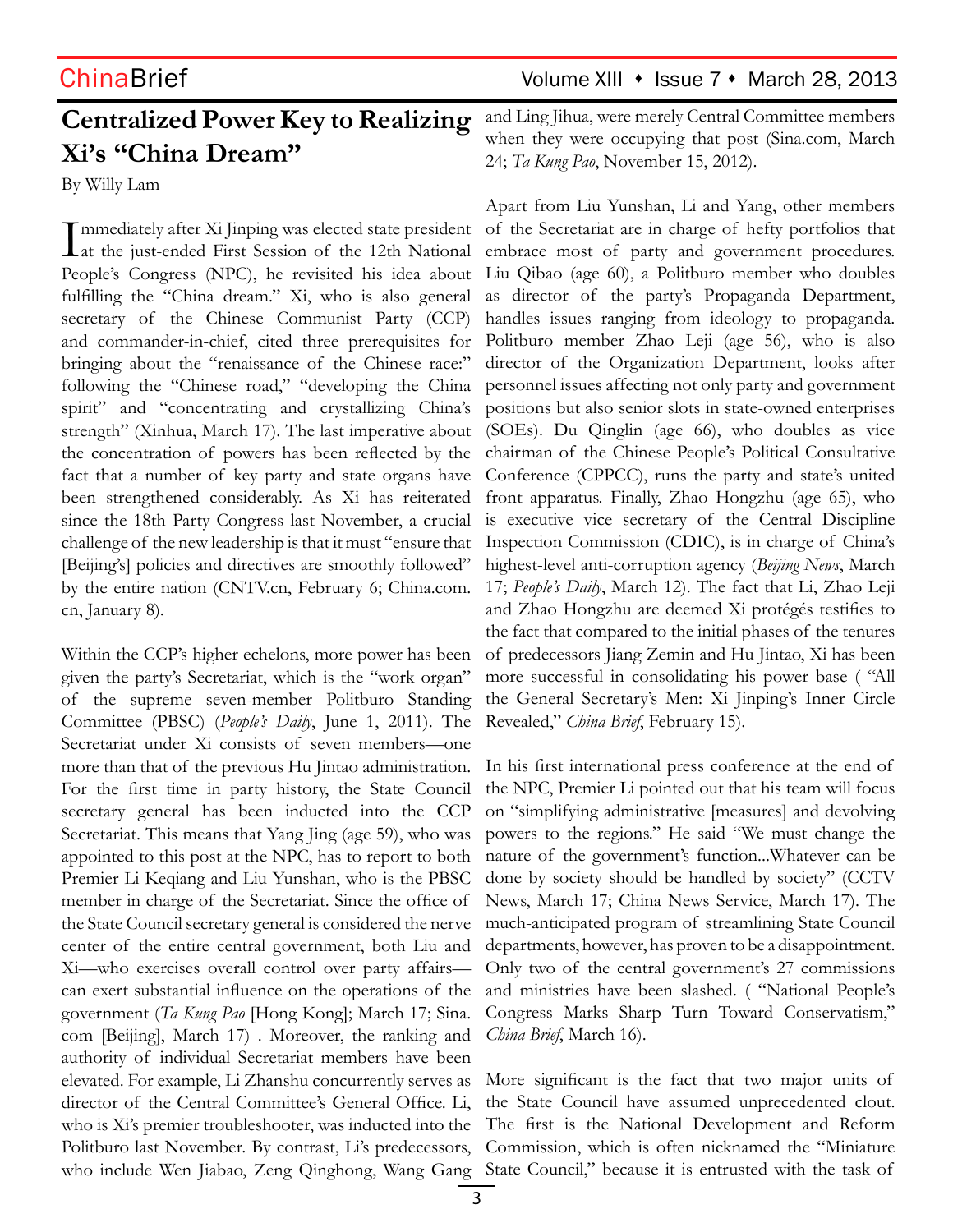## ChinaBrief Volume XIII • Issue 7 • March 28, 2013

# **Centralized Power Key to Realizing Xi's "China Dream"**

By Willy Lam

Immediately after Xi Jinping was elected state president<br>
at the just-ended First Session of the 12th National mmediately after Xi Jinping was elected state president People's Congress (NPC), he revisited his idea about fulfilling the "China dream." Xi, who is also general secretary of the Chinese Communist Party (CCP) and commander-in-chief, cited three prerequisites for bringing about the "renaissance of the Chinese race:" following the "Chinese road," "developing the China spirit" and "concentrating and crystallizing China's strength" (Xinhua, March 17). The last imperative about the concentration of powers has been reflected by the fact that a number of key party and state organs have been strengthened considerably. As Xi has reiterated since the 18th Party Congress last November, a crucial challenge of the new leadership is that it must "ensure that [Beijing's] policies and directives are smoothly followed" by the entire nation (CNTV.cn, February 6; China.com. cn, January 8).

Within the CCP's higher echelons, more power has been given the party's Secretariat, which is the "work organ" of the supreme seven-member Politburo Standing Committee (PBSC) (*People's Daily*, June 1, 2011). The Secretariat under Xi consists of seven members—one more than that of the previous Hu Jintao administration. For the first time in party history, the State Council secretary general has been inducted into the CCP Secretariat. This means that Yang Jing (age 59), who was appointed to this post at the NPC, has to report to both Premier Li Keqiang and Liu Yunshan, who is the PBSC member in charge of the Secretariat. Since the office of the State Council secretary general is considered the nerve center of the entire central government, both Liu and Xi—who exercises overall control over party affairs can exert substantial influence on the operations of the government (*Ta Kung Pao* [Hong Kong]; March 17; Sina. com [Beijing], March 17) . Moreover, the ranking and authority of individual Secretariat members have been elevated. For example, Li Zhanshu concurrently serves as director of the Central Committee's General Office. Li, who is Xi's premier troubleshooter, was inducted into the Politburo last November. By contrast, Li's predecessors, who include Wen Jiabao, Zeng Qinghong, Wang Gang State Council," because it is entrusted with the task of

and Ling Jihua, were merely Central Committee members when they were occupying that post (Sina.com, March 24; *Ta Kung Pao*, November 15, 2012).

Apart from Liu Yunshan, Li and Yang, other members of the Secretariat are in charge of hefty portfolios that embrace most of party and government procedures. Liu Qibao (age 60), a Politburo member who doubles as director of the party's Propaganda Department, handles issues ranging from ideology to propaganda. Politburo member Zhao Leji (age 56), who is also director of the Organization Department, looks after personnel issues affecting not only party and government positions but also senior slots in state-owned enterprises (SOEs). Du Qinglin (age 66), who doubles as vice chairman of the Chinese People's Political Consultative Conference (CPPCC), runs the party and state's united front apparatus. Finally, Zhao Hongzhu (age 65), who is executive vice secretary of the Central Discipline Inspection Commission (CDIC), is in charge of China's highest-level anti-corruption agency (*Beijing News*, March 17; *People's Daily*, March 12). The fact that Li, Zhao Leji and Zhao Hongzhu are deemed Xi protégés testifies to the fact that compared to the initial phases of the tenures of predecessors Jiang Zemin and Hu Jintao, Xi has been more successful in consolidating his power base ( "All the General Secretary's Men: Xi Jinping's Inner Circle Revealed," *China Brief*, February 15).

In his first international press conference at the end of the NPC, Premier Li pointed out that his team will focus on "simplifying administrative [measures] and devolving powers to the regions." He said "We must change the nature of the government's function...Whatever can be done by society should be handled by society" (CCTV News, March 17; China News Service, March 17). The much-anticipated program of streamlining State Council departments, however, has proven to be a disappointment. Only two of the central government's 27 commissions and ministries have been slashed. ( "National People's Congress Marks Sharp Turn Toward Conservatism," *China Brief*, March 16).

More significant is the fact that two major units of the State Council have assumed unprecedented clout. The first is the National Development and Reform Commission, which is often nicknamed the "Miniature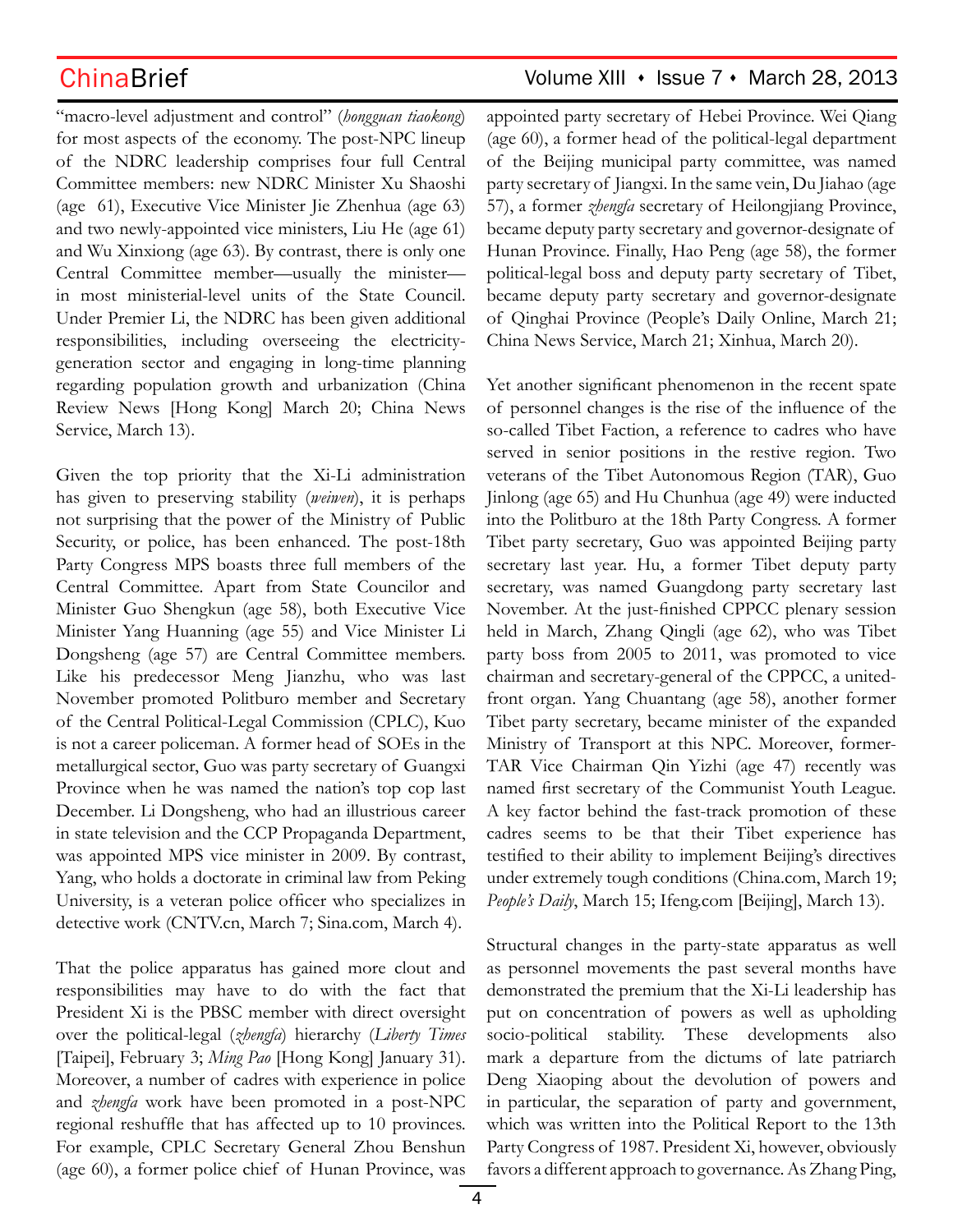"macro-level adjustment and control" (*hongguan tiaokong*) for most aspects of the economy. The post-NPC lineup of the NDRC leadership comprises four full Central Committee members: new NDRC Minister Xu Shaoshi (age 61), Executive Vice Minister Jie Zhenhua (age 63) and two newly-appointed vice ministers, Liu He (age 61) and Wu Xinxiong (age 63). By contrast, there is only one Central Committee member—usually the minister in most ministerial-level units of the State Council. Under Premier Li, the NDRC has been given additional responsibilities, including overseeing the electricitygeneration sector and engaging in long-time planning regarding population growth and urbanization (China Review News [Hong Kong] March 20; China News Service, March 13).

Given the top priority that the Xi-Li administration has given to preserving stability (*weiwen*), it is perhaps not surprising that the power of the Ministry of Public Security, or police, has been enhanced. The post-18th Party Congress MPS boasts three full members of the Central Committee. Apart from State Councilor and Minister Guo Shengkun (age 58), both Executive Vice Minister Yang Huanning (age 55) and Vice Minister Li Dongsheng (age 57) are Central Committee members. Like his predecessor Meng Jianzhu, who was last November promoted Politburo member and Secretary of the Central Political-Legal Commission (CPLC), Kuo is not a career policeman. A former head of SOEs in the metallurgical sector, Guo was party secretary of Guangxi Province when he was named the nation's top cop last December. Li Dongsheng, who had an illustrious career in state television and the CCP Propaganda Department, was appointed MPS vice minister in 2009. By contrast, Yang, who holds a doctorate in criminal law from Peking University, is a veteran police officer who specializes in detective work (CNTV.cn, March 7; Sina.com, March 4).

That the police apparatus has gained more clout and responsibilities may have to do with the fact that President Xi is the PBSC member with direct oversight over the political-legal (*zhengfa*) hierarchy (*Liberty Times* [Taipei], February 3; *Ming Pao* [Hong Kong] January 31). Moreover, a number of cadres with experience in police and *zhengfa* work have been promoted in a post-NPC regional reshuffle that has affected up to 10 provinces. For example, CPLC Secretary General Zhou Benshun (age 60), a former police chief of Hunan Province, was

## ChinaBrief Volume XIII • Issue 7 • March 28, 2013

appointed party secretary of Hebei Province. Wei Qiang (age 60), a former head of the political-legal department of the Beijing municipal party committee, was named party secretary of Jiangxi. In the same vein, Du Jiahao (age 57), a former *zhengfa* secretary of Heilongjiang Province, became deputy party secretary and governor-designate of Hunan Province. Finally, Hao Peng (age 58), the former political-legal boss and deputy party secretary of Tibet, became deputy party secretary and governor-designate of Qinghai Province (People's Daily Online, March 21; China News Service, March 21; Xinhua, March 20).

Yet another significant phenomenon in the recent spate of personnel changes is the rise of the influence of the so-called Tibet Faction, a reference to cadres who have served in senior positions in the restive region. Two veterans of the Tibet Autonomous Region (TAR), Guo Jinlong (age 65) and Hu Chunhua (age 49) were inducted into the Politburo at the 18th Party Congress. A former Tibet party secretary, Guo was appointed Beijing party secretary last year. Hu, a former Tibet deputy party secretary, was named Guangdong party secretary last November. At the just-finished CPPCC plenary session held in March, Zhang Qingli (age 62), who was Tibet party boss from 2005 to 2011, was promoted to vice chairman and secretary-general of the CPPCC, a unitedfront organ. Yang Chuantang (age 58), another former Tibet party secretary, became minister of the expanded Ministry of Transport at this NPC. Moreover, former-TAR Vice Chairman Qin Yizhi (age 47) recently was named first secretary of the Communist Youth League. A key factor behind the fast-track promotion of these cadres seems to be that their Tibet experience has testified to their ability to implement Beijing's directives under extremely tough conditions (China.com, March 19; *People's Daily*, March 15; Ifeng.com [Beijing], March 13).

Structural changes in the party-state apparatus as well as personnel movements the past several months have demonstrated the premium that the Xi-Li leadership has put on concentration of powers as well as upholding socio-political stability. These developments also mark a departure from the dictums of late patriarch Deng Xiaoping about the devolution of powers and in particular, the separation of party and government, which was written into the Political Report to the 13th Party Congress of 1987. President Xi, however, obviously favors a different approach to governance. As Zhang Ping,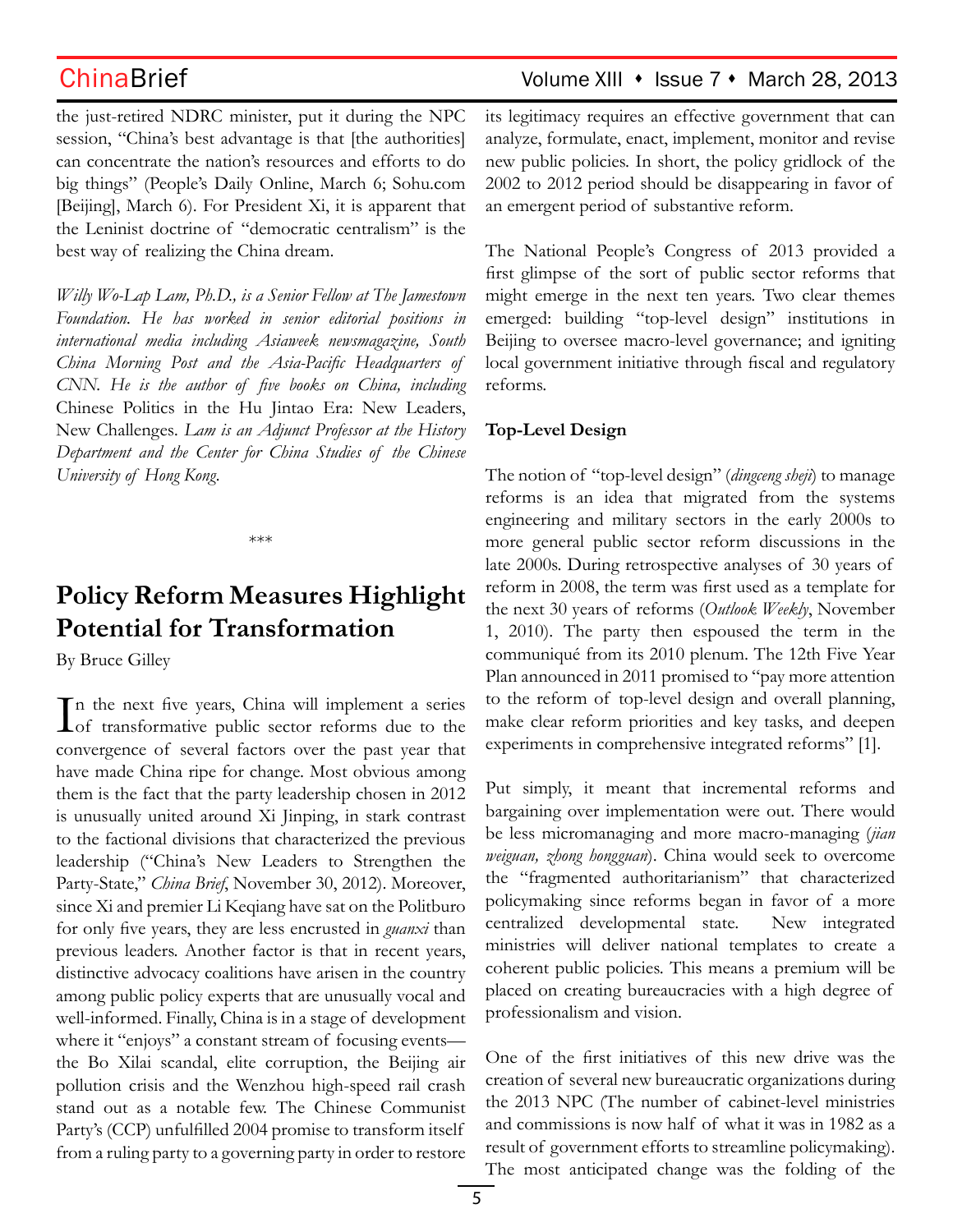the just-retired NDRC minister, put it during the NPC session, "China's best advantage is that [the authorities] can concentrate the nation's resources and efforts to do big things" (People's Daily Online, March 6; Sohu.com [Beijing], March 6). For President Xi, it is apparent that the Leninist doctrine of "democratic centralism" is the best way of realizing the China dream.

*Willy Wo-Lap Lam, Ph.D., is a Senior Fellow at The Jamestown Foundation. He has worked in senior editorial positions in international media including Asiaweek newsmagazine, South China Morning Post and the Asia-Pacific Headquarters of CNN. He is the author of five books on China, including*  Chinese Politics in the Hu Jintao Era: New Leaders, New Challenges*. Lam is an Adjunct Professor at the History Department and the Center for China Studies of the Chinese University of Hong Kong.*

\*\*\*

# **Policy Reform Measures Highlight Potential for Transformation**

By Bruce Gilley

In the next five years, China will implement a series<br>of transformative public sector reforms due to the  $\mathbb T$ n the next five years, China will implement a series convergence of several factors over the past year that have made China ripe for change. Most obvious among them is the fact that the party leadership chosen in 2012 is unusually united around Xi Jinping, in stark contrast to the factional divisions that characterized the previous leadership ("China's New Leaders to Strengthen the Party-State," *China Brief*, November 30, 2012). Moreover, since Xi and premier Li Keqiang have sat on the Politburo for only five years, they are less encrusted in *guanxi* than previous leaders. Another factor is that in recent years, distinctive advocacy coalitions have arisen in the country among public policy experts that are unusually vocal and well-informed. Finally, China is in a stage of development where it "enjoys" a constant stream of focusing events the Bo Xilai scandal, elite corruption, the Beijing air pollution crisis and the Wenzhou high-speed rail crash stand out as a notable few. The Chinese Communist Party's (CCP) unfulfilled 2004 promise to transform itself from a ruling party to a governing party in order to restore

## ChinaBrief Volume XIII • Issue 7 • March 28, 2013

its legitimacy requires an effective government that can analyze, formulate, enact, implement, monitor and revise new public policies. In short, the policy gridlock of the 2002 to 2012 period should be disappearing in favor of an emergent period of substantive reform.

The National People's Congress of 2013 provided a first glimpse of the sort of public sector reforms that might emerge in the next ten years. Two clear themes emerged: building "top-level design" institutions in Beijing to oversee macro-level governance; and igniting local government initiative through fiscal and regulatory reforms.

### **Top-Level Design**

The notion of "top-level design" (*dingceng sheji*) to manage reforms is an idea that migrated from the systems engineering and military sectors in the early 2000s to more general public sector reform discussions in the late 2000s. During retrospective analyses of 30 years of reform in 2008, the term was first used as a template for the next 30 years of reforms (*Outlook Weekly*, November 1, 2010). The party then espoused the term in the communiqué from its 2010 plenum. The 12th Five Year Plan announced in 2011 promised to "pay more attention to the reform of top-level design and overall planning, make clear reform priorities and key tasks, and deepen experiments in comprehensive integrated reforms" [1].

Put simply, it meant that incremental reforms and bargaining over implementation were out. There would be less micromanaging and more macro-managing (*jian weiguan, zhong hongguan*). China would seek to overcome the "fragmented authoritarianism" that characterized policymaking since reforms began in favor of a more centralized developmental state. New integrated ministries will deliver national templates to create a coherent public policies. This means a premium will be placed on creating bureaucracies with a high degree of professionalism and vision.

One of the first initiatives of this new drive was the creation of several new bureaucratic organizations during the 2013 NPC (The number of cabinet-level ministries and commissions is now half of what it was in 1982 as a result of government efforts to streamline policymaking). The most anticipated change was the folding of the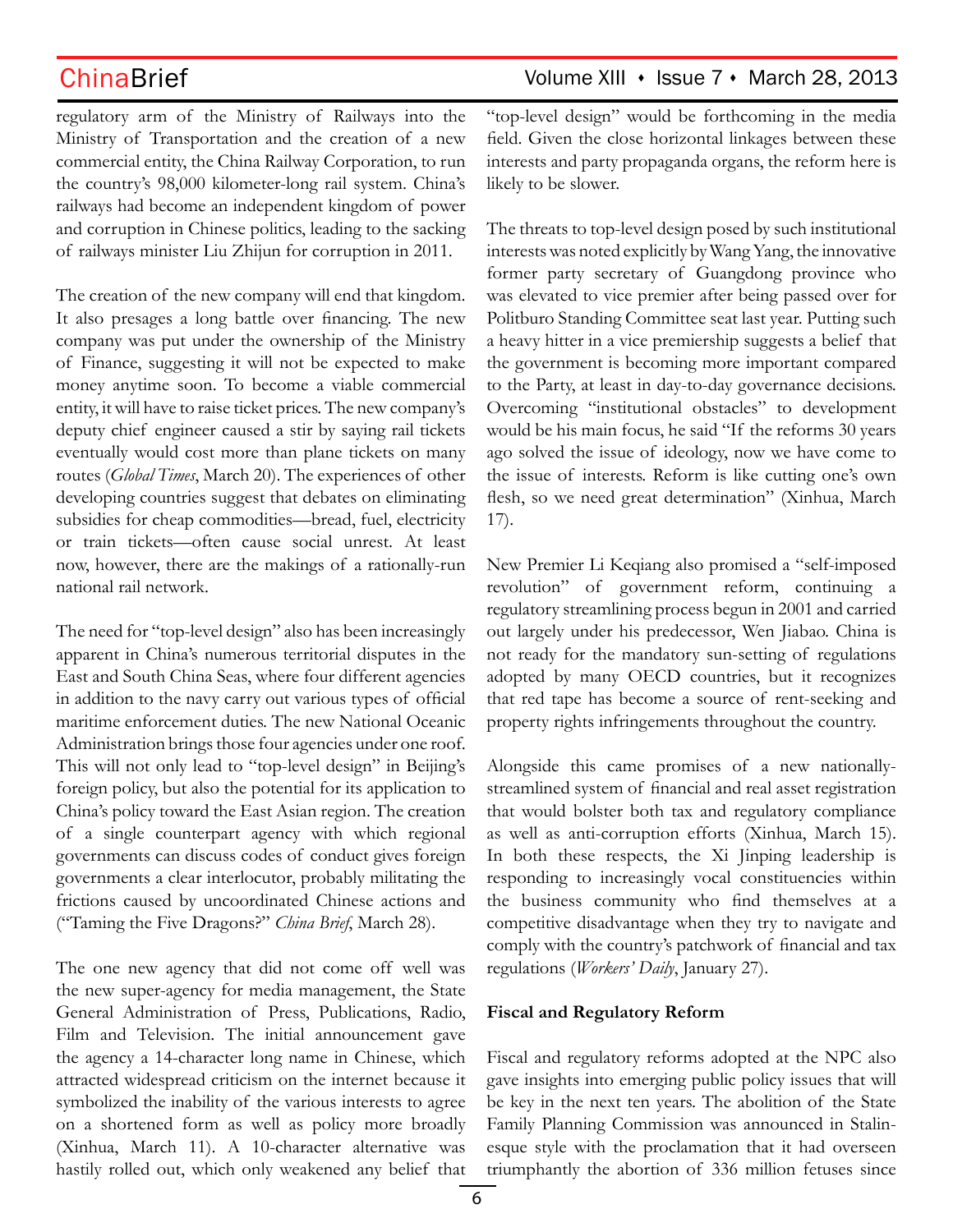regulatory arm of the Ministry of Railways into the Ministry of Transportation and the creation of a new commercial entity, the China Railway Corporation, to run the country's 98,000 kilometer-long rail system. China's railways had become an independent kingdom of power and corruption in Chinese politics, leading to the sacking of railways minister Liu Zhijun for corruption in 2011.

The creation of the new company will end that kingdom. It also presages a long battle over financing. The new company was put under the ownership of the Ministry of Finance, suggesting it will not be expected to make money anytime soon. To become a viable commercial entity, it will have to raise ticket prices. The new company's deputy chief engineer caused a stir by saying rail tickets eventually would cost more than plane tickets on many routes (*Global Times*, March 20). The experiences of other developing countries suggest that debates on eliminating subsidies for cheap commodities—bread, fuel, electricity or train tickets—often cause social unrest. At least now, however, there are the makings of a rationally-run national rail network.

The need for "top-level design" also has been increasingly apparent in China's numerous territorial disputes in the East and South China Seas, where four different agencies in addition to the navy carry out various types of official maritime enforcement duties. The new National Oceanic Administration brings those four agencies under one roof. This will not only lead to "top-level design" in Beijing's foreign policy, but also the potential for its application to China's policy toward the East Asian region. The creation of a single counterpart agency with which regional governments can discuss codes of conduct gives foreign governments a clear interlocutor, probably militating the frictions caused by uncoordinated Chinese actions and ("Taming the Five Dragons?" *China Brief*, March 28).

The one new agency that did not come off well was the new super-agency for media management, the State General Administration of Press, Publications, Radio, Film and Television. The initial announcement gave the agency a 14-character long name in Chinese, which attracted widespread criticism on the internet because it symbolized the inability of the various interests to agree on a shortened form as well as policy more broadly (Xinhua, March 11). A 10-character alternative was hastily rolled out, which only weakened any belief that

## ChinaBrief Volume XIII • Issue 7 • March 28, 2013

"top-level design" would be forthcoming in the media field. Given the close horizontal linkages between these interests and party propaganda organs, the reform here is likely to be slower.

The threats to top-level design posed by such institutional interests was noted explicitly by Wang Yang, the innovative former party secretary of Guangdong province who was elevated to vice premier after being passed over for Politburo Standing Committee seat last year. Putting such a heavy hitter in a vice premiership suggests a belief that the government is becoming more important compared to the Party, at least in day-to-day governance decisions. Overcoming "institutional obstacles" to development would be his main focus, he said "If the reforms 30 years ago solved the issue of ideology, now we have come to the issue of interests. Reform is like cutting one's own flesh, so we need great determination" (Xinhua, March 17).

New Premier Li Keqiang also promised a "self-imposed revolution" of government reform, continuing a regulatory streamlining process begun in 2001 and carried out largely under his predecessor, Wen Jiabao. China is not ready for the mandatory sun-setting of regulations adopted by many OECD countries, but it recognizes that red tape has become a source of rent-seeking and property rights infringements throughout the country.

Alongside this came promises of a new nationallystreamlined system of financial and real asset registration that would bolster both tax and regulatory compliance as well as anti-corruption efforts (Xinhua, March 15). In both these respects, the Xi Jinping leadership is responding to increasingly vocal constituencies within the business community who find themselves at a competitive disadvantage when they try to navigate and comply with the country's patchwork of financial and tax regulations (*Workers' Daily*, January 27).

### **Fiscal and Regulatory Reform**

Fiscal and regulatory reforms adopted at the NPC also gave insights into emerging public policy issues that will be key in the next ten years. The abolition of the State Family Planning Commission was announced in Stalinesque style with the proclamation that it had overseen triumphantly the abortion of 336 million fetuses since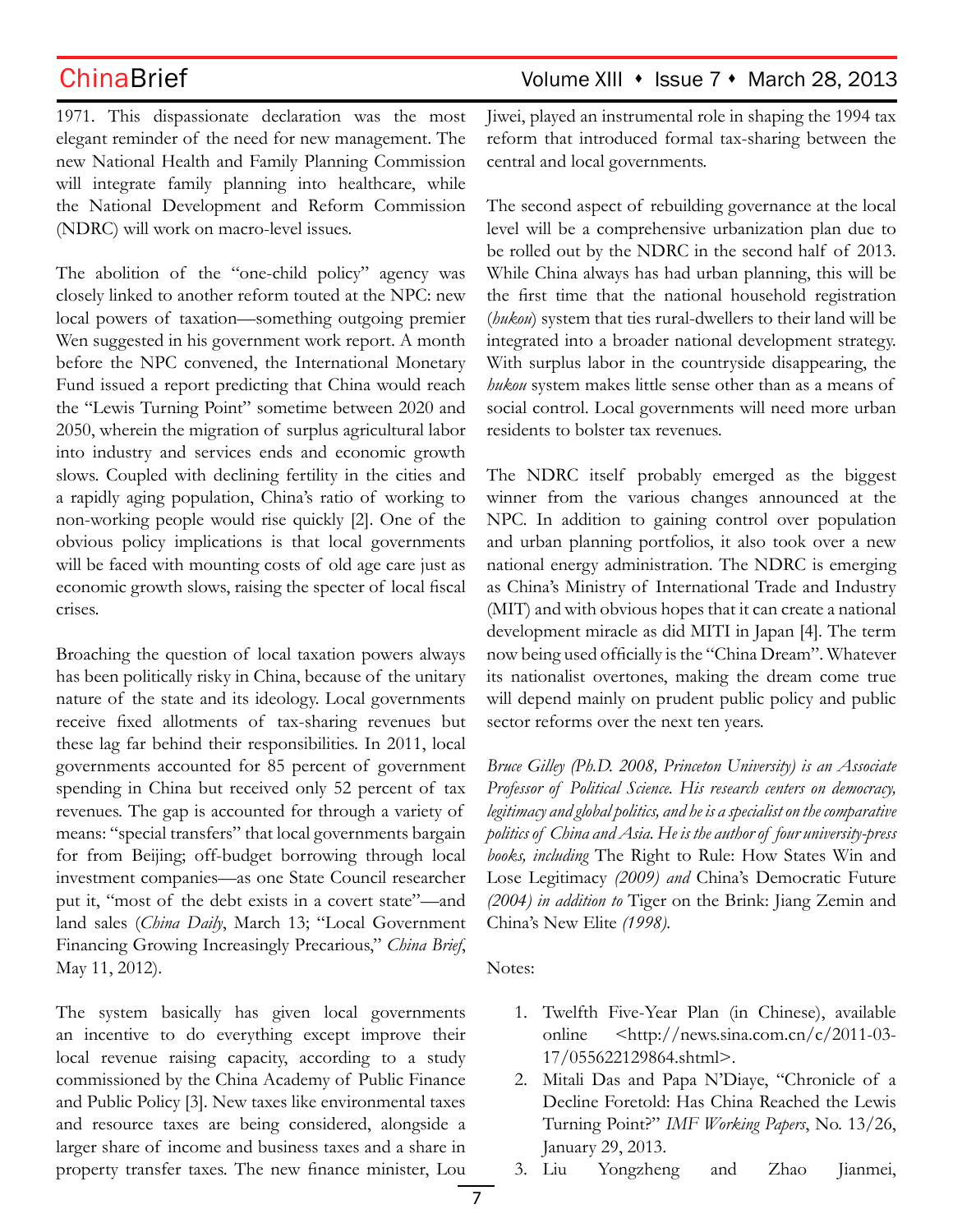1971. This dispassionate declaration was the most elegant reminder of the need for new management. The new National Health and Family Planning Commission will integrate family planning into healthcare, while the National Development and Reform Commission (NDRC) will work on macro-level issues.

The abolition of the "one-child policy" agency was closely linked to another reform touted at the NPC: new local powers of taxation—something outgoing premier Wen suggested in his government work report. A month before the NPC convened, the International Monetary Fund issued a report predicting that China would reach the "Lewis Turning Point" sometime between 2020 and 2050, wherein the migration of surplus agricultural labor into industry and services ends and economic growth slows. Coupled with declining fertility in the cities and a rapidly aging population, China's ratio of working to non-working people would rise quickly [2]. One of the obvious policy implications is that local governments will be faced with mounting costs of old age care just as economic growth slows, raising the specter of local fiscal crises.

Broaching the question of local taxation powers always has been politically risky in China, because of the unitary nature of the state and its ideology. Local governments receive fixed allotments of tax-sharing revenues but these lag far behind their responsibilities. In 2011, local governments accounted for 85 percent of government spending in China but received only 52 percent of tax revenues. The gap is accounted for through a variety of means: "special transfers" that local governments bargain for from Beijing; off-budget borrowing through local investment companies—as one State Council researcher put it, "most of the debt exists in a covert state"—and land sales (*China Daily*, March 13; "Local Government Financing Growing Increasingly Precarious," *China Brief*, May 11, 2012).

The system basically has given local governments an incentive to do everything except improve their local revenue raising capacity, according to a study commissioned by the China Academy of Public Finance and Public Policy [3]. New taxes like environmental taxes and resource taxes are being considered, alongside a larger share of income and business taxes and a share in property transfer taxes. The new finance minister, Lou

## ChinaBrief Volume XIII • Issue 7 • March 28, 2013

Jiwei, played an instrumental role in shaping the 1994 tax reform that introduced formal tax-sharing between the central and local governments.

The second aspect of rebuilding governance at the local level will be a comprehensive urbanization plan due to be rolled out by the NDRC in the second half of 2013. While China always has had urban planning, this will be the first time that the national household registration (*hukou*) system that ties rural-dwellers to their land will be integrated into a broader national development strategy. With surplus labor in the countryside disappearing, the *hukou* system makes little sense other than as a means of social control. Local governments will need more urban residents to bolster tax revenues.

The NDRC itself probably emerged as the biggest winner from the various changes announced at the NPC. In addition to gaining control over population and urban planning portfolios, it also took over a new national energy administration. The NDRC is emerging as China's Ministry of International Trade and Industry (MIT) and with obvious hopes that it can create a national development miracle as did MITI in Japan [4]. The term now being used officially is the "China Dream". Whatever its nationalist overtones, making the dream come true will depend mainly on prudent public policy and public sector reforms over the next ten years.

*Bruce Gilley (Ph.D. 2008, Princeton University) is an Associate Professor of Political Science. His research centers on democracy, legitimacy and global politics, and he is a specialist on the comparative politics of China and Asia. He is the author of four university-press books, including* The Right to Rule: How States Win and Lose Legitimacy *(2009) and* China's Democratic Future *(2004) in addition to* Tiger on the Brink: Jiang Zemin and China's New Elite *(1998).* 

Notes:

- 1. Twelfth Five-Year Plan (in Chinese), available online <http://news.sina.com.cn/c/2011-03- 17/055622129864.shtml>.
- 2. Mitali Das and Papa N'Diaye, "Chronicle of a Decline Foretold: Has China Reached the Lewis Turning Point?" *IMF Working Papers*, No. 13/26, January 29, 2013.
- 3. Liu Yongzheng and Zhao Jianmei,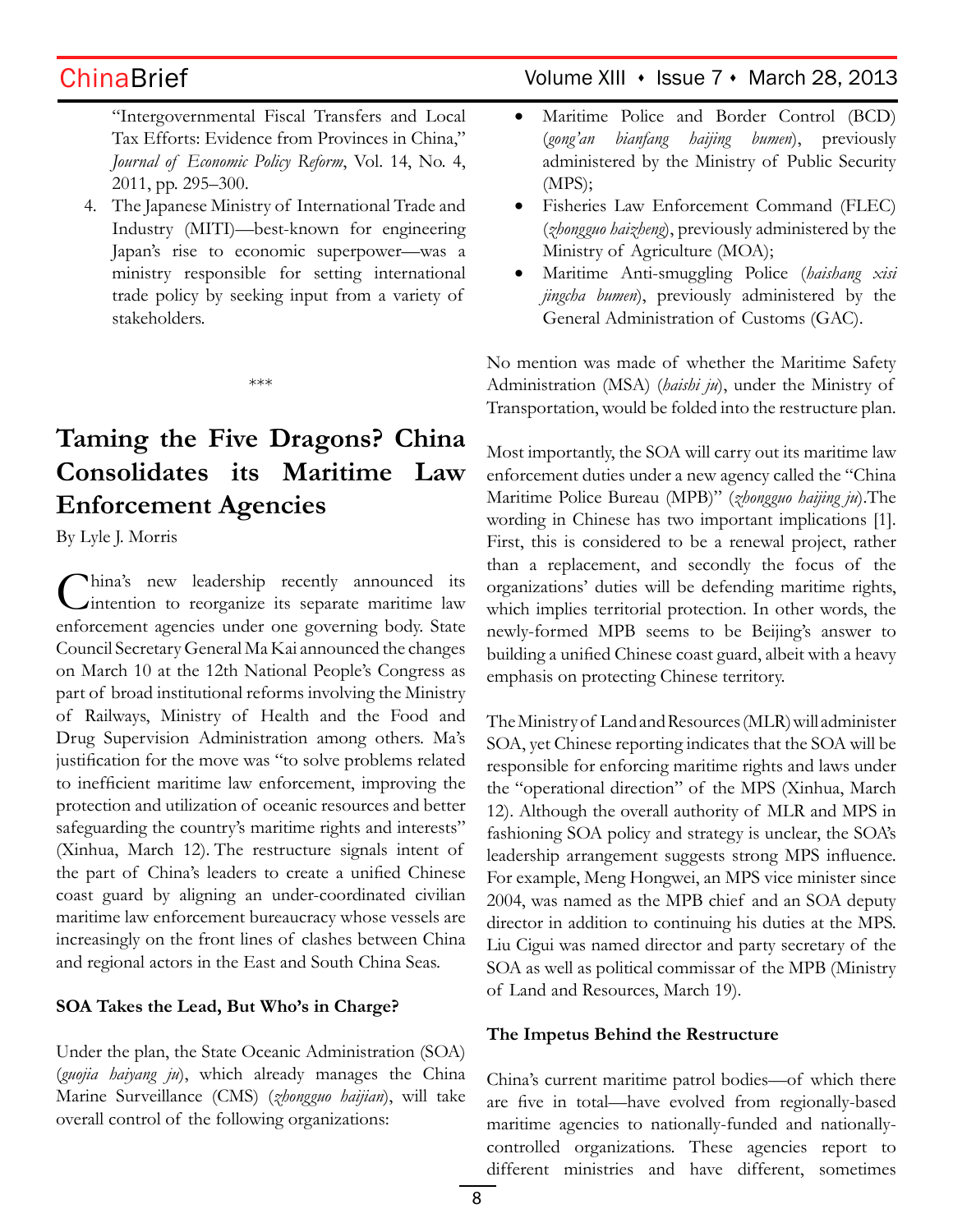"Intergovernmental Fiscal Transfers and Local Tax Efforts: Evidence from Provinces in China," *Journal of Economic Policy Reform*, Vol. 14, No. 4, 2011, pp. 295–300.

4. The Japanese Ministry of International Trade and Industry (MITI)—best-known for engineering Japan's rise to economic superpower—was a ministry responsible for setting international trade policy by seeking input from a variety of stakeholders.

\*\*\*

# **Taming the Five Dragons? China Consolidates its Maritime Law Enforcement Agencies**

By Lyle J. Morris

hina's new leadership recently announced its intention to reorganize its separate maritime law enforcement agencies under one governing body. State Council Secretary General Ma Kai announced the changes on March 10 at the 12th National People's Congress as part of broad institutional reforms involving the Ministry of Railways, Ministry of Health and the Food and Drug Supervision Administration among others. Ma's justification for the move was "to solve problems related to inefficient maritime law enforcement, improving the protection and utilization of oceanic resources and better safeguarding the country's maritime rights and interests" (Xinhua, March 12). The restructure signals intent of the part of China's leaders to create a unified Chinese coast guard by aligning an under-coordinated civilian maritime law enforcement bureaucracy whose vessels are increasingly on the front lines of clashes between China and regional actors in the East and South China Seas.

### **SOA Takes the Lead, But Who's in Charge?**

Under the plan, the State Oceanic Administration (SOA) (*guojia haiyang ju*), which already manages the China Marine Surveillance (CMS) (*zhongguo haijian*), will take overall control of the following organizations:

## ChinaBrief Volume XIII • Issue 7 • March 28, 2013

- • Maritime Police and Border Control (BCD) (*gong'an bianfang haijing bumen*), previously administered by the Ministry of Public Security (MPS);
- • Fisheries Law Enforcement Command (FLEC) (*zhongguo haizheng*), previously administered by the Ministry of Agriculture (MOA);
- • Maritime Anti-smuggling Police (*haishang xisi jingcha bumen*), previously administered by the General Administration of Customs (GAC).

No mention was made of whether the Maritime Safety Administration (MSA) (*haishi ju*), under the Ministry of Transportation, would be folded into the restructure plan.

Most importantly, the SOA will carry out its maritime law enforcement duties under a new agency called the "China Maritime Police Bureau (MPB)" (*zhongguo haijing ju*).The wording in Chinese has two important implications [1]. First, this is considered to be a renewal project, rather than a replacement, and secondly the focus of the organizations' duties will be defending maritime rights, which implies territorial protection. In other words, the newly-formed MPB seems to be Beijing's answer to building a unified Chinese coast guard, albeit with a heavy emphasis on protecting Chinese territory.

The Ministry of Land and Resources (MLR) will administer SOA, yet Chinese reporting indicates that the SOA will be responsible for enforcing maritime rights and laws under the "operational direction" of the MPS (Xinhua, March 12). Although the overall authority of MLR and MPS in fashioning SOA policy and strategy is unclear, the SOA's leadership arrangement suggests strong MPS influence. For example, Meng Hongwei, an MPS vice minister since 2004, was named as the MPB chief and an SOA deputy director in addition to continuing his duties at the MPS. Liu Cigui was named director and party secretary of the SOA as well as political commissar of the MPB (Ministry of Land and Resources, March 19).

### **The Impetus Behind the Restructure**

China's current maritime patrol bodies—of which there are five in total—have evolved from regionally-based maritime agencies to nationally-funded and nationallycontrolled organizations. These agencies report to different ministries and have different, sometimes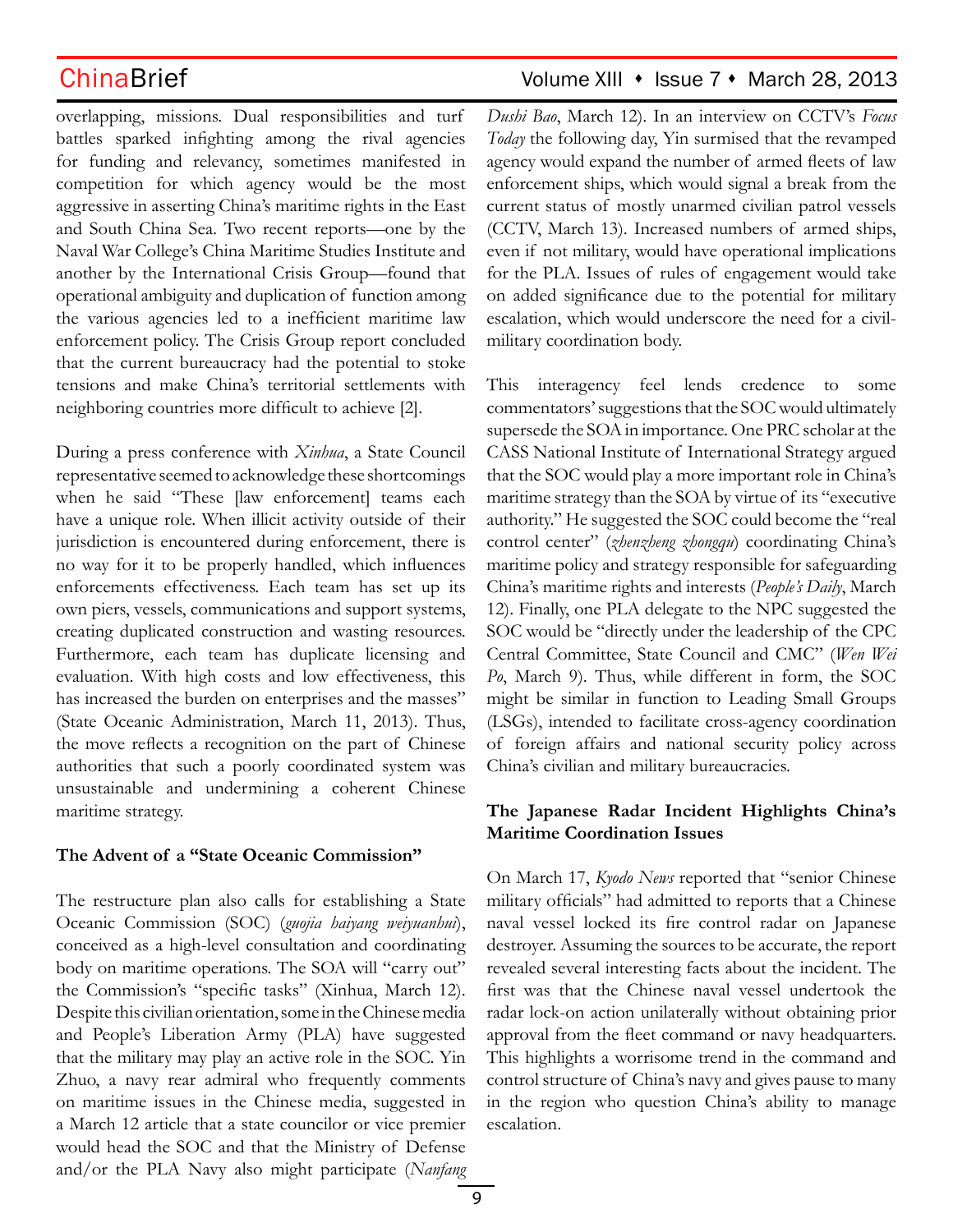overlapping, missions. Dual responsibilities and turf battles sparked infighting among the rival agencies for funding and relevancy, sometimes manifested in competition for which agency would be the most aggressive in asserting China's maritime rights in the East and South China Sea. Two recent reports—one by the Naval War College's China Maritime Studies Institute and another by the International Crisis Group—found that operational ambiguity and duplication of function among the various agencies led to a inefficient maritime law enforcement policy. The Crisis Group report concluded that the current bureaucracy had the potential to stoke tensions and make China's territorial settlements with neighboring countries more difficult to achieve [2].

During a press conference with *Xinhua*, a State Council representative seemed to acknowledge these shortcomings when he said "These [law enforcement] teams each have a unique role. When illicit activity outside of their jurisdiction is encountered during enforcement, there is no way for it to be properly handled, which influences enforcements effectiveness. Each team has set up its own piers, vessels, communications and support systems, creating duplicated construction and wasting resources. Furthermore, each team has duplicate licensing and evaluation. With high costs and low effectiveness, this has increased the burden on enterprises and the masses" (State Oceanic Administration, March 11, 2013). Thus, the move reflects a recognition on the part of Chinese authorities that such a poorly coordinated system was unsustainable and undermining a coherent Chinese maritime strategy.

### **The Advent of a "State Oceanic Commission"**

The restructure plan also calls for establishing a State Oceanic Commission (SOC) (*guojia haiyang weiyuanhui*), conceived as a high-level consultation and coordinating body on maritime operations. The SOA will "carry out" the Commission's "specific tasks" (Xinhua, March 12). Despite this civilian orientation, some in the Chinese media and People's Liberation Army (PLA) have suggested that the military may play an active role in the SOC. Yin Zhuo, a navy rear admiral who frequently comments on maritime issues in the Chinese media, suggested in a March 12 article that a state councilor or vice premier would head the SOC and that the Ministry of Defense and/or the PLA Navy also might participate (*Nanfang* 

## ChinaBrief Volume XIII • Issue 7 • March 28, 2013

*Dushi Bao*, March 12). In an interview on CCTV's *Focus Today* the following day, Yin surmised that the revamped agency would expand the number of armed fleets of law enforcement ships, which would signal a break from the current status of mostly unarmed civilian patrol vessels (CCTV, March 13). Increased numbers of armed ships, even if not military, would have operational implications for the PLA. Issues of rules of engagement would take on added significance due to the potential for military escalation, which would underscore the need for a civilmilitary coordination body.

This interagency feel lends credence to some commentators' suggestions that the SOC would ultimately supersede the SOA in importance. One PRC scholar at the CASS National Institute of International Strategy argued that the SOC would play a more important role in China's maritime strategy than the SOA by virtue of its "executive authority." He suggested the SOC could become the "real control center" (*zhenzheng zhongqu*) coordinating China's maritime policy and strategy responsible for safeguarding China's maritime rights and interests (*People's Daily*, March 12). Finally, one PLA delegate to the NPC suggested the SOC would be "directly under the leadership of the CPC Central Committee, State Council and CMC" (*Wen Wei Po*, March 9). Thus, while different in form, the SOC might be similar in function to Leading Small Groups (LSGs), intended to facilitate cross-agency coordination of foreign affairs and national security policy across China's civilian and military bureaucracies.

### **The Japanese Radar Incident Highlights China's Maritime Coordination Issues**

On March 17, *Kyodo News* reported that "senior Chinese military officials" had admitted to reports that a Chinese naval vessel locked its fire control radar on Japanese destroyer. Assuming the sources to be accurate, the report revealed several interesting facts about the incident. The first was that the Chinese naval vessel undertook the radar lock-on action unilaterally without obtaining prior approval from the fleet command or navy headquarters. This highlights a worrisome trend in the command and control structure of China's navy and gives pause to many in the region who question China's ability to manage escalation.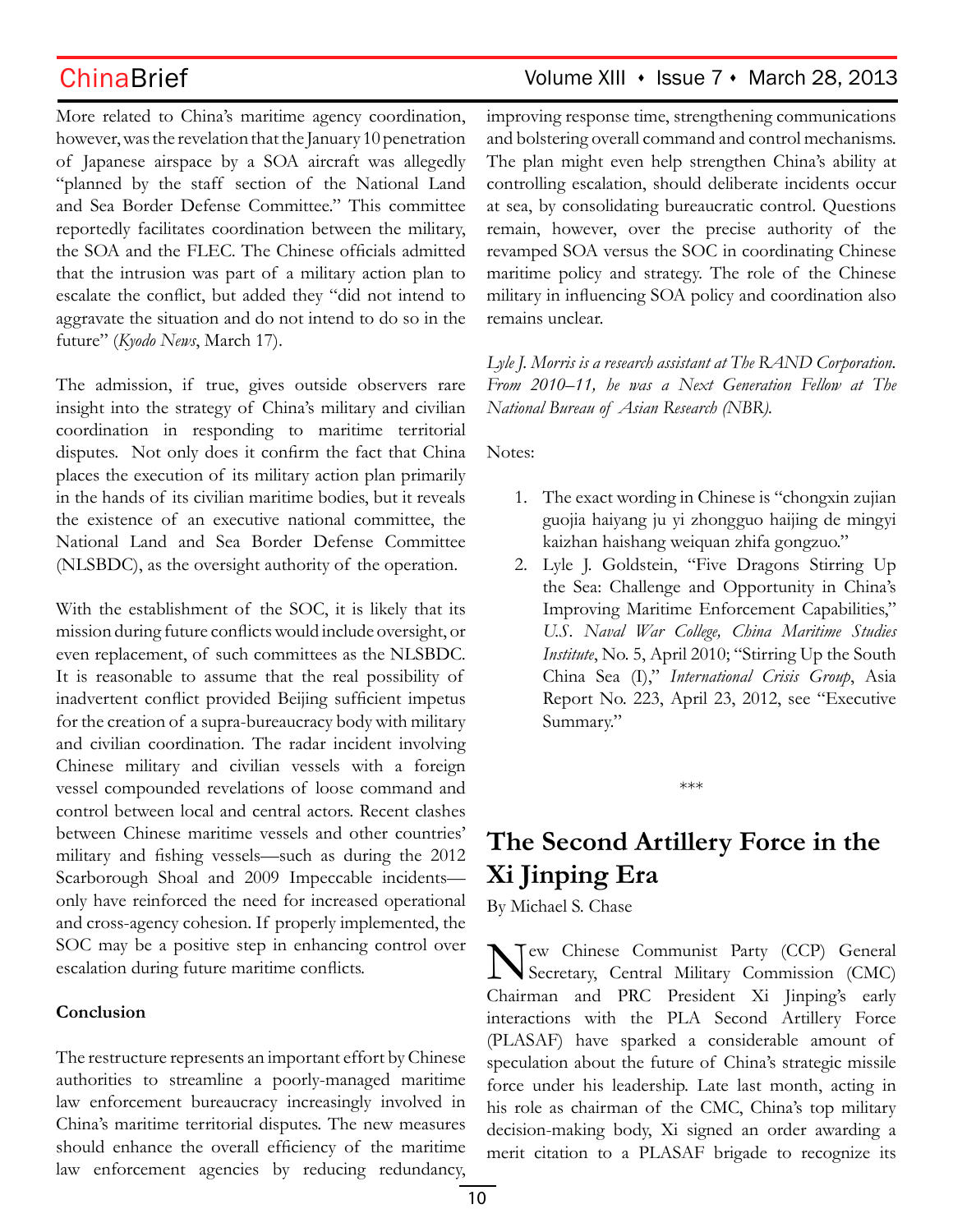More related to China's maritime agency coordination, however, was the revelation that the January 10 penetration of Japanese airspace by a SOA aircraft was allegedly "planned by the staff section of the National Land and Sea Border Defense Committee." This committee reportedly facilitates coordination between the military, the SOA and the FLEC. The Chinese officials admitted that the intrusion was part of a military action plan to escalate the conflict, but added they "did not intend to aggravate the situation and do not intend to do so in the future" (*Kyodo News*, March 17).

The admission, if true, gives outside observers rare insight into the strategy of China's military and civilian coordination in responding to maritime territorial disputes. Not only does it confirm the fact that China places the execution of its military action plan primarily in the hands of its civilian maritime bodies, but it reveals the existence of an executive national committee, the National Land and Sea Border Defense Committee (NLSBDC), as the oversight authority of the operation.

With the establishment of the SOC, it is likely that its mission during future conflicts would include oversight, or even replacement, of such committees as the NLSBDC. It is reasonable to assume that the real possibility of inadvertent conflict provided Beijing sufficient impetus for the creation of a supra-bureaucracy body with military and civilian coordination. The radar incident involving Chinese military and civilian vessels with a foreign vessel compounded revelations of loose command and control between local and central actors. Recent clashes between Chinese maritime vessels and other countries' military and fishing vessels—such as during the 2012 Scarborough Shoal and 2009 Impeccable incidents only have reinforced the need for increased operational and cross-agency cohesion. If properly implemented, the SOC may be a positive step in enhancing control over escalation during future maritime conflicts.

### **Conclusion**

The restructure represents an important effort by Chinese authorities to streamline a poorly-managed maritime law enforcement bureaucracy increasingly involved in China's maritime territorial disputes. The new measures should enhance the overall efficiency of the maritime law enforcement agencies by reducing redundancy,

## ChinaBrief Volume XIII • Issue 7 • March 28, 2013

improving response time, strengthening communications and bolstering overall command and control mechanisms. The plan might even help strengthen China's ability at controlling escalation, should deliberate incidents occur at sea, by consolidating bureaucratic control. Questions remain, however, over the precise authority of the revamped SOA versus the SOC in coordinating Chinese maritime policy and strategy. The role of the Chinese military in influencing SOA policy and coordination also remains unclear.

*Lyle J. Morris is a research assistant at The RAND Corporation. From 2010–11, he was a Next Generation Fellow at The National Bureau of Asian Research (NBR).*

Notes:

- 1. The exact wording in Chinese is "chongxin zujian guojia haiyang ju yi zhongguo haijing de mingyi kaizhan haishang weiquan zhifa gongzuo."
- 2. Lyle J. Goldstein, "Five Dragons Stirring Up the Sea: Challenge and Opportunity in China's Improving Maritime Enforcement Capabilities," *U.S. Naval War College, China Maritime Studies Institute*, No. 5, April 2010; "Stirring Up the South China Sea (I)," *International Crisis Group*, Asia Report No. 223, April 23, 2012, see "Executive Summary."

\*\*\*

# **The Second Artillery Force in the Xi Jinping Era**

By Michael S. Chase

New Chinese Communist Party (CCP) General Secretary, Central Military Commission (CMC) Chairman and PRC President Xi Jinping's early interactions with the PLA Second Artillery Force (PLASAF) have sparked a considerable amount of speculation about the future of China's strategic missile force under his leadership. Late last month, acting in his role as chairman of the CMC, China's top military decision-making body, Xi signed an order awarding a merit citation to a PLASAF brigade to recognize its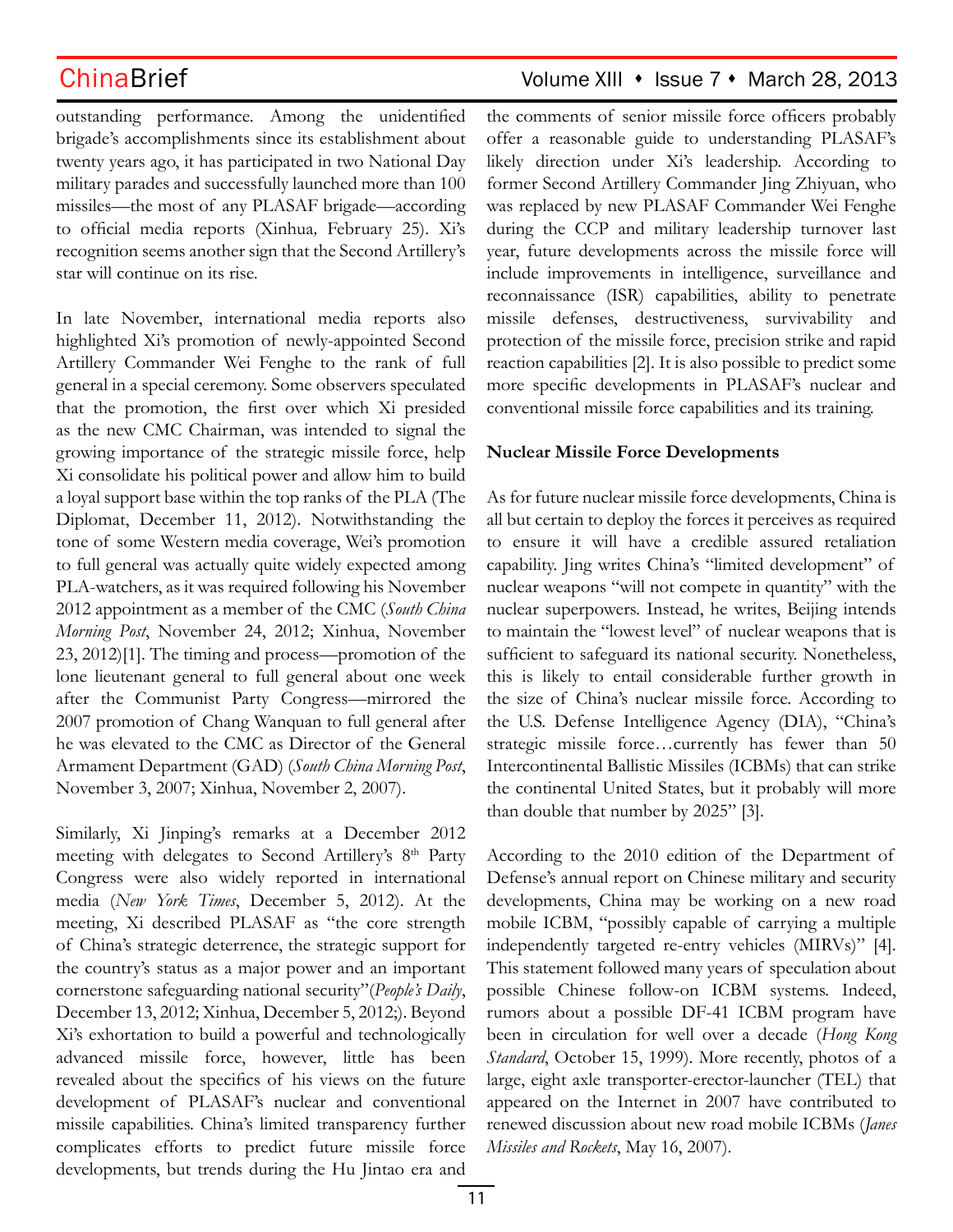## ChinaBrief Volume XIII • Issue 7 • March 28, 2013

outstanding performance. Among the unidentified brigade's accomplishments since its establishment about twenty years ago, it has participated in two National Day military parades and successfully launched more than 100 missiles—the most of any PLASAF brigade—according to official media reports (Xinhua*,* February 25). Xi's recognition seems another sign that the Second Artillery's star will continue on its rise.

In late November, international media reports also highlighted Xi's promotion of newly-appointed Second Artillery Commander Wei Fenghe to the rank of full general in a special ceremony. Some observers speculated that the promotion, the first over which Xi presided as the new CMC Chairman, was intended to signal the growing importance of the strategic missile force, help Xi consolidate his political power and allow him to build a loyal support base within the top ranks of the PLA (The Diplomat, December 11, 2012). Notwithstanding the tone of some Western media coverage, Wei's promotion to full general was actually quite widely expected among PLA-watchers, as it was required following his November 2012 appointment as a member of the CMC (*South China Morning Post*, November 24, 2012; Xinhua, November 23, 2012)[1]. The timing and process—promotion of the lone lieutenant general to full general about one week after the Communist Party Congress—mirrored the 2007 promotion of Chang Wanquan to full general after he was elevated to the CMC as Director of the General Armament Department (GAD) (*South China Morning Post*, November 3, 2007; Xinhua, November 2, 2007).

Similarly, Xi Jinping's remarks at a December 2012 meeting with delegates to Second Artillery's 8<sup>th</sup> Party Congress were also widely reported in international media (*New York Times*, December 5, 2012). At the meeting, Xi described PLASAF as "the core strength of China's strategic deterrence, the strategic support for the country's status as a major power and an important cornerstone safeguarding national security"(*People's Daily*, December 13, 2012; Xinhua, December 5, 2012;). Beyond Xi's exhortation to build a powerful and technologically advanced missile force, however, little has been revealed about the specifics of his views on the future development of PLASAF's nuclear and conventional missile capabilities. China's limited transparency further complicates efforts to predict future missile force developments, but trends during the Hu Jintao era and

the comments of senior missile force officers probably offer a reasonable guide to understanding PLASAF's likely direction under Xi's leadership. According to former Second Artillery Commander Jing Zhiyuan, who was replaced by new PLASAF Commander Wei Fenghe during the CCP and military leadership turnover last year, future developments across the missile force will include improvements in intelligence, surveillance and reconnaissance (ISR) capabilities, ability to penetrate missile defenses, destructiveness, survivability and protection of the missile force, precision strike and rapid reaction capabilities [2]. It is also possible to predict some more specific developments in PLASAF's nuclear and conventional missile force capabilities and its training.

### **Nuclear Missile Force Developments**

As for future nuclear missile force developments, China is all but certain to deploy the forces it perceives as required to ensure it will have a credible assured retaliation capability. Jing writes China's "limited development" of nuclear weapons "will not compete in quantity" with the nuclear superpowers. Instead, he writes, Beijing intends to maintain the "lowest level" of nuclear weapons that is sufficient to safeguard its national security. Nonetheless, this is likely to entail considerable further growth in the size of China's nuclear missile force. According to the U.S. Defense Intelligence Agency (DIA), "China's strategic missile force…currently has fewer than 50 Intercontinental Ballistic Missiles (ICBMs) that can strike the continental United States, but it probably will more than double that number by 2025" [3].

According to the 2010 edition of the Department of Defense's annual report on Chinese military and security developments, China may be working on a new road mobile ICBM, "possibly capable of carrying a multiple independently targeted re-entry vehicles (MIRVs)" [4]. This statement followed many years of speculation about possible Chinese follow-on ICBM systems. Indeed, rumors about a possible DF-41 ICBM program have been in circulation for well over a decade (*Hong Kong Standard*, October 15, 1999). More recently, photos of a large, eight axle transporter-erector-launcher (TEL) that appeared on the Internet in 2007 have contributed to renewed discussion about new road mobile ICBMs (*Janes Missiles and Rockets*, May 16, 2007).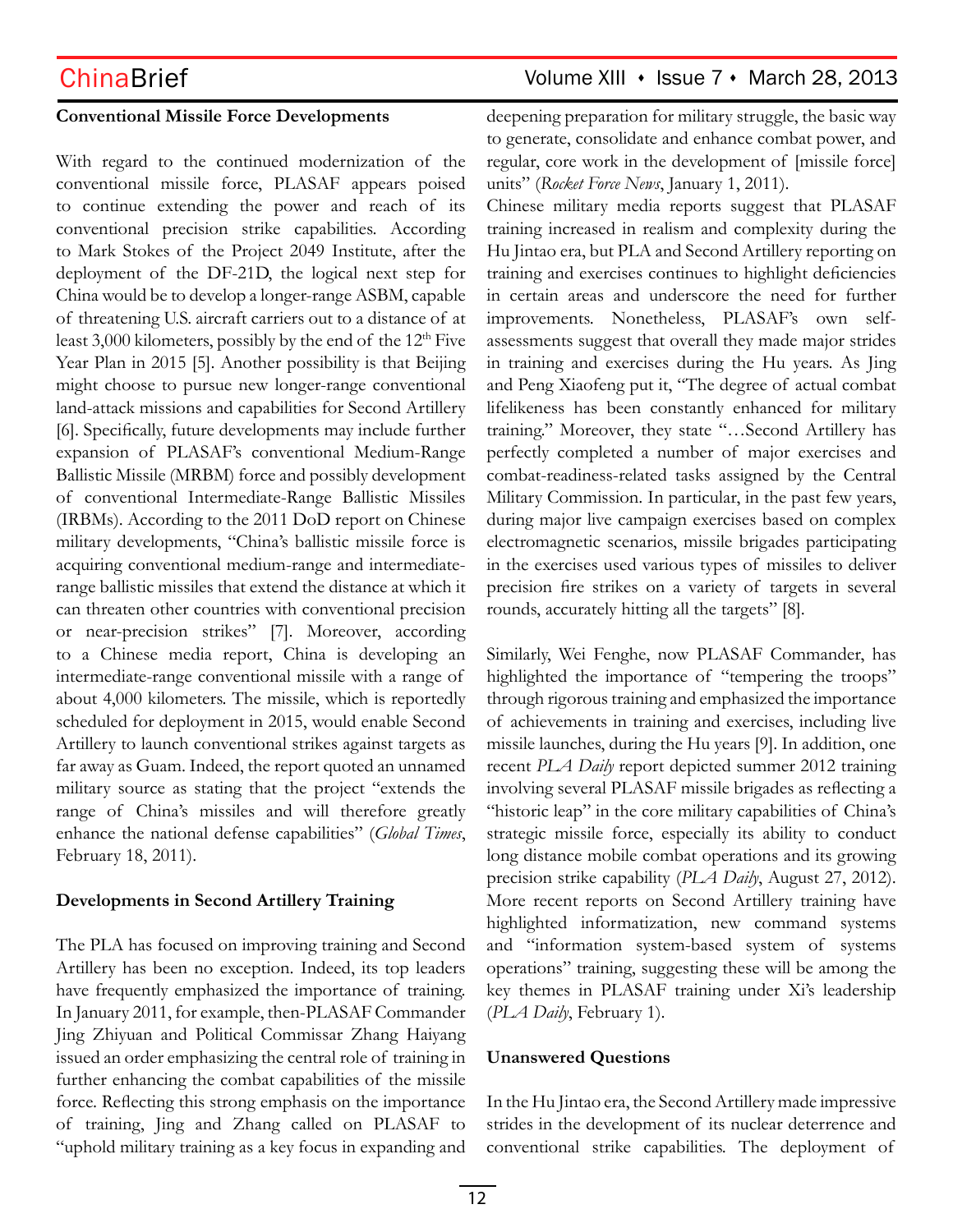### **Conventional Missile Force Developments**

With regard to the continued modernization of the conventional missile force, PLASAF appears poised to continue extending the power and reach of its conventional precision strike capabilities. According to Mark Stokes of the Project 2049 Institute, after the deployment of the DF-21D, the logical next step for China would be to develop a longer-range ASBM, capable of threatening U.S. aircraft carriers out to a distance of at least 3,000 kilometers, possibly by the end of the  $12<sup>th</sup>$  Five Year Plan in 2015 [5]. Another possibility is that Beijing might choose to pursue new longer-range conventional land-attack missions and capabilities for Second Artillery [6]. Specifically, future developments may include further expansion of PLASAF's conventional Medium-Range Ballistic Missile (MRBM) force and possibly development of conventional Intermediate-Range Ballistic Missiles (IRBMs). According to the 2011 DoD report on Chinese military developments, "China's ballistic missile force is acquiring conventional medium-range and intermediaterange ballistic missiles that extend the distance at which it can threaten other countries with conventional precision or near-precision strikes" [7]. Moreover, according to a Chinese media report, China is developing an intermediate-range conventional missile with a range of about 4,000 kilometers. The missile, which is reportedly scheduled for deployment in 2015, would enable Second Artillery to launch conventional strikes against targets as far away as Guam. Indeed, the report quoted an unnamed military source as stating that the project "extends the range of China's missiles and will therefore greatly enhance the national defense capabilities" (*Global Times*, February 18, 2011).

### **Developments in Second Artillery Training**

The PLA has focused on improving training and Second Artillery has been no exception. Indeed, its top leaders have frequently emphasized the importance of training. In January 2011, for example, then-PLASAF Commander Jing Zhiyuan and Political Commissar Zhang Haiyang issued an order emphasizing the central role of training in further enhancing the combat capabilities of the missile force. Reflecting this strong emphasis on the importance of training, Jing and Zhang called on PLASAF to "uphold military training as a key focus in expanding and

## ChinaBrief Volume XIII • Issue 7 • March 28, 2013

deepening preparation for military struggle, the basic way to generate, consolidate and enhance combat power, and regular, core work in the development of [missile force] units" (*Rocket Force News*, January 1, 2011).

Chinese military media reports suggest that PLASAF training increased in realism and complexity during the Hu Jintao era, but PLA and Second Artillery reporting on training and exercises continues to highlight deficiencies in certain areas and underscore the need for further improvements. Nonetheless, PLASAF's own selfassessments suggest that overall they made major strides in training and exercises during the Hu years. As Jing and Peng Xiaofeng put it, "The degree of actual combat lifelikeness has been constantly enhanced for military training." Moreover, they state "…Second Artillery has perfectly completed a number of major exercises and combat-readiness-related tasks assigned by the Central Military Commission. In particular, in the past few years, during major live campaign exercises based on complex electromagnetic scenarios, missile brigades participating in the exercises used various types of missiles to deliver precision fire strikes on a variety of targets in several rounds, accurately hitting all the targets" [8].

Similarly, Wei Fenghe, now PLASAF Commander, has highlighted the importance of "tempering the troops" through rigorous training and emphasized the importance of achievements in training and exercises, including live missile launches, during the Hu years [9]. In addition, one recent *PLA Daily* report depicted summer 2012 training involving several PLASAF missile brigades as reflecting a "historic leap" in the core military capabilities of China's strategic missile force, especially its ability to conduct long distance mobile combat operations and its growing precision strike capability (*PLA Daily*, August 27, 2012). More recent reports on Second Artillery training have highlighted informatization, new command systems and "information system-based system of systems operations" training, suggesting these will be among the key themes in PLASAF training under Xi's leadership (*PLA Daily*, February 1).

### **Unanswered Questions**

In the Hu Jintao era, the Second Artillery made impressive strides in the development of its nuclear deterrence and conventional strike capabilities. The deployment of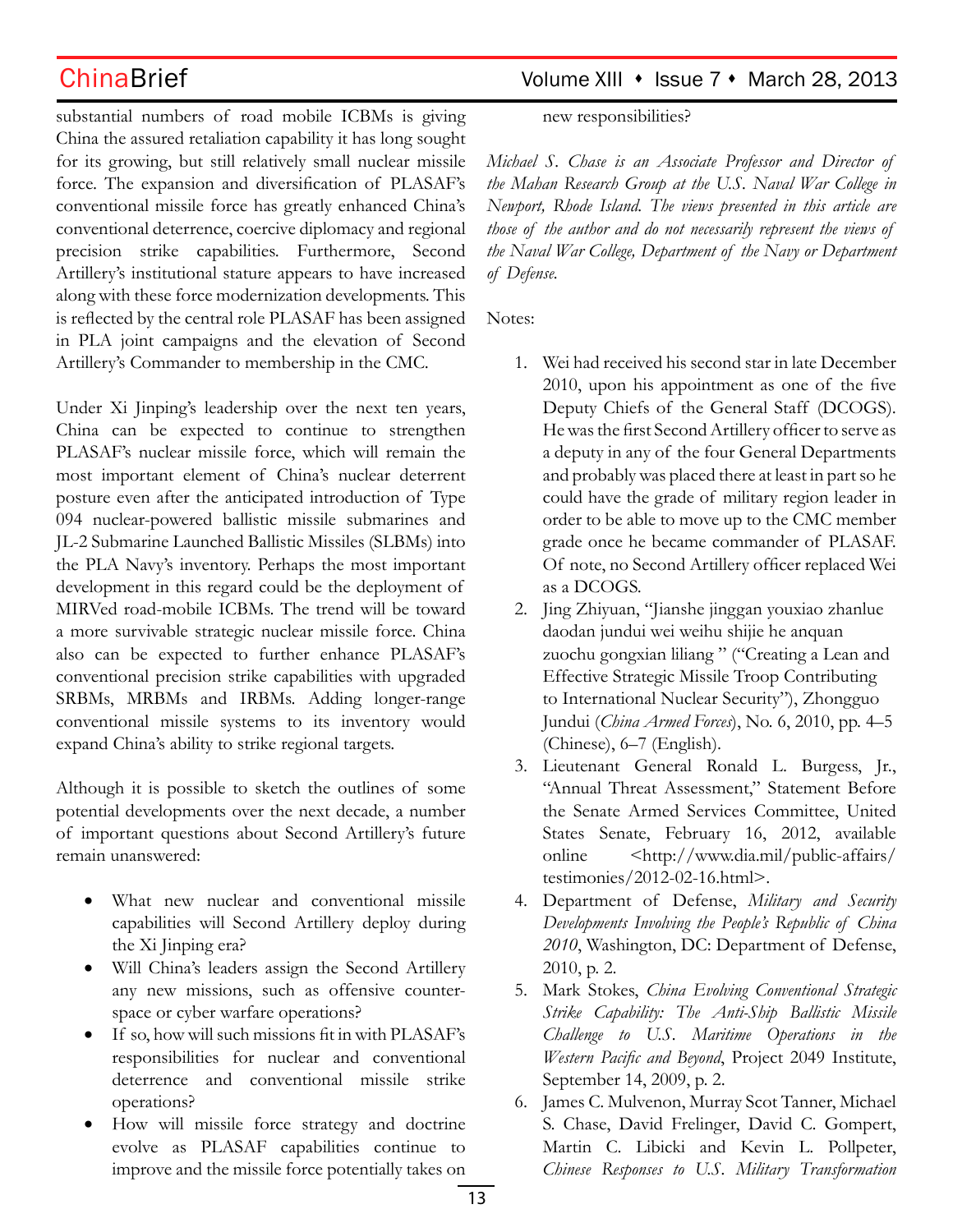substantial numbers of road mobile ICBMs is giving China the assured retaliation capability it has long sought for its growing, but still relatively small nuclear missile force. The expansion and diversification of PLASAF's conventional missile force has greatly enhanced China's conventional deterrence, coercive diplomacy and regional precision strike capabilities. Furthermore, Second Artillery's institutional stature appears to have increased along with these force modernization developments. This is reflected by the central role PLASAF has been assigned in PLA joint campaigns and the elevation of Second Artillery's Commander to membership in the CMC.

Under Xi Jinping's leadership over the next ten years, China can be expected to continue to strengthen PLASAF's nuclear missile force, which will remain the most important element of China's nuclear deterrent posture even after the anticipated introduction of Type 094 nuclear-powered ballistic missile submarines and JL-2 Submarine Launched Ballistic Missiles (SLBMs) into the PLA Navy's inventory. Perhaps the most important development in this regard could be the deployment of MIRVed road-mobile ICBMs. The trend will be toward a more survivable strategic nuclear missile force. China also can be expected to further enhance PLASAF's conventional precision strike capabilities with upgraded SRBMs, MRBMs and IRBMs. Adding longer-range conventional missile systems to its inventory would expand China's ability to strike regional targets.

Although it is possible to sketch the outlines of some potential developments over the next decade, a number of important questions about Second Artillery's future remain unanswered:

- What new nuclear and conventional missile capabilities will Second Artillery deploy during the Xi Jinping era?
- Will China's leaders assign the Second Artillery any new missions, such as offensive counterspace or cyber warfare operations?
- If so, how will such missions fit in with PLASAF's responsibilities for nuclear and conventional deterrence and conventional missile strike operations?
- How will missile force strategy and doctrine evolve as PLASAF capabilities continue to improve and the missile force potentially takes on

## ChinaBrief Volume XIII • Issue 7 • March 28, 2013

new responsibilities?

*Michael S. Chase is an Associate Professor and Director of the Mahan Research Group at the U.S. Naval War College in Newport, Rhode Island. The views presented in this article are those of the author and do not necessarily represent the views of the Naval War College, Department of the Navy or Department of Defense.*

Notes:

- 1. Wei had received his second star in late December 2010, upon his appointment as one of the five Deputy Chiefs of the General Staff (DCOGS). He was the first Second Artillery officer to serve as a deputy in any of the four General Departments and probably was placed there at least in part so he could have the grade of military region leader in order to be able to move up to the CMC member grade once he became commander of PLASAF. Of note, no Second Artillery officer replaced Wei as a DCOGS.
- 2. Jing Zhiyuan, "Jianshe jinggan youxiao zhanlue daodan jundui wei weihu shijie he anquan zuochu gongxian liliang " ("Creating a Lean and Effective Strategic Missile Troop Contributing to International Nuclear Security"), Zhongguo Jundui (*China Armed Forces*), No. 6, 2010, pp. 4–5 (Chinese), 6–7 (English).
- 3. Lieutenant General Ronald L. Burgess, Jr., "Annual Threat Assessment," Statement Before the Senate Armed Services Committee, United States Senate, February 16, 2012, available online <http://www.dia.mil/public-affairs/ testimonies/2012-02-16.html>.
- 4. Department of Defense, *Military and Security Developments Involving the People's Republic of China 2010*, Washington, DC: Department of Defense, 2010, p. 2.
- 5. Mark Stokes, *China Evolving Conventional Strategic Strike Capability: The Anti-Ship Ballistic Missile Challenge to U.S. Maritime Operations in the Western Pacific and Beyond*, Project 2049 Institute, September 14, 2009, p. 2.
- 6. James C. Mulvenon, Murray Scot Tanner, Michael S. Chase, David Frelinger, David C. Gompert, Martin C. Libicki and Kevin L. Pollpeter, *Chinese Responses to U.S. Military Transformation*